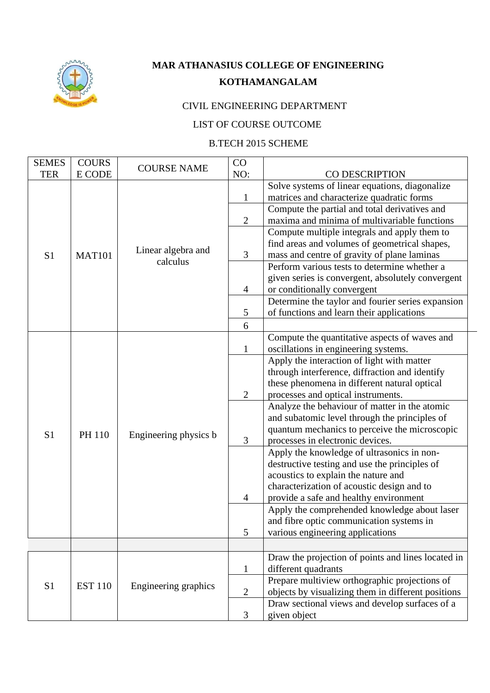

## **MAR ATHANASIUS COLLEGE OF ENGINEERING KOTHAMANGALAM**

## CIVIL ENGINEERING DEPARTMENT

## LIST OF COURSE OUTCOME

## B.TECH 2015 SCHEME

| <b>SEMES</b>   | <b>COURS</b>   |                       | CO             |                                                    |
|----------------|----------------|-----------------------|----------------|----------------------------------------------------|
| <b>TER</b>     | E CODE         | <b>COURSE NAME</b>    | NO:            | <b>CO DESCRIPTION</b>                              |
|                |                |                       |                | Solve systems of linear equations, diagonalize     |
|                |                |                       | 1              | matrices and characterize quadratic forms          |
|                |                |                       |                | Compute the partial and total derivatives and      |
|                |                |                       | $\overline{2}$ | maxima and minima of multivariable functions       |
|                |                |                       |                | Compute multiple integrals and apply them to       |
|                |                |                       |                | find areas and volumes of geometrical shapes,      |
| S1             | <b>MAT101</b>  | Linear algebra and    | 3              | mass and centre of gravity of plane laminas        |
|                |                | calculus              |                | Perform various tests to determine whether a       |
|                |                |                       |                | given series is convergent, absolutely convergent  |
|                |                |                       | $\overline{4}$ | or conditionally convergent                        |
|                |                |                       |                | Determine the taylor and fourier series expansion  |
|                |                |                       | 5              | of functions and learn their applications          |
|                |                |                       | 6              |                                                    |
|                |                |                       |                | Compute the quantitative aspects of waves and      |
|                |                |                       | 1              | oscillations in engineering systems.               |
|                |                |                       |                | Apply the interaction of light with matter         |
|                | PH 110         |                       |                | through interference, diffraction and identify     |
|                |                |                       |                | these phenomena in different natural optical       |
|                |                |                       | $\overline{2}$ | processes and optical instruments.                 |
|                |                |                       |                | Analyze the behaviour of matter in the atomic      |
|                |                |                       |                | and subatomic level through the principles of      |
| S1             |                |                       |                | quantum mechanics to perceive the microscopic      |
|                |                | Engineering physics b | 3              | processes in electronic devices.                   |
|                |                |                       |                | Apply the knowledge of ultrasonics in non-         |
|                |                |                       |                | destructive testing and use the principles of      |
|                |                |                       |                | acoustics to explain the nature and                |
|                |                |                       |                | characterization of acoustic design and to         |
|                |                |                       | 4              | provide a safe and healthy environment             |
|                |                |                       |                | Apply the comprehended knowledge about laser       |
|                |                |                       |                | and fibre optic communication systems in           |
|                |                |                       | 5              | various engineering applications                   |
|                |                |                       |                |                                                    |
|                |                |                       |                | Draw the projection of points and lines located in |
|                |                |                       | $\mathbf{1}$   | different quadrants                                |
| S <sub>1</sub> | <b>EST 110</b> |                       |                | Prepare multiview orthographic projections of      |
|                |                | Engineering graphics  | $\overline{2}$ | objects by visualizing them in different positions |
|                |                |                       |                | Draw sectional views and develop surfaces of a     |
|                |                |                       | 3              | given object                                       |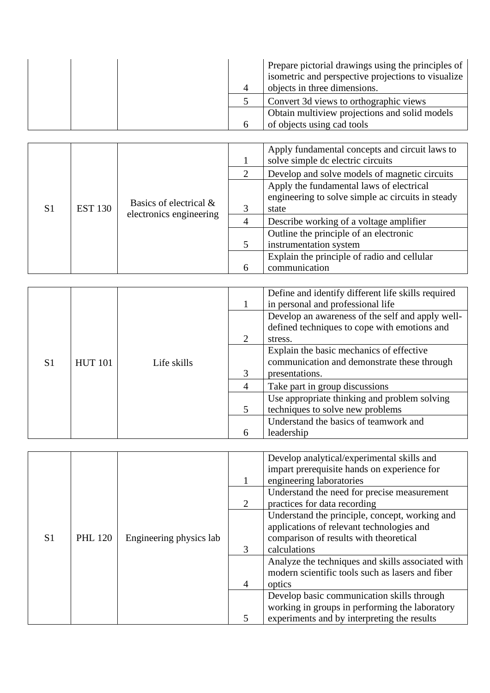|  | Prepare pictorial drawings using the principles of<br>isometric and perspective projections to visualize |
|--|----------------------------------------------------------------------------------------------------------|
|  | objects in three dimensions.                                                                             |
|  | Convert 3d views to orthographic views                                                                   |
|  | Obtain multiview projections and solid models                                                            |
|  | of objects using cad tools                                                                               |

|                |                |                                                   |                                        | Apply fundamental concepts and circuit laws to<br>solve simple dc electric circuits                    |  |  |
|----------------|----------------|---------------------------------------------------|----------------------------------------|--------------------------------------------------------------------------------------------------------|--|--|
|                |                |                                                   | $\mathcal{D}_{\cdot}$                  | Develop and solve models of magnetic circuits                                                          |  |  |
| S <sub>1</sub> | <b>EST 130</b> | Basics of electrical &<br>electronics engineering | 3                                      | Apply the fundamental laws of electrical<br>engineering to solve simple ac circuits in steady<br>state |  |  |
|                |                |                                                   | 4                                      | Describe working of a voltage amplifier                                                                |  |  |
|                |                |                                                   | Outline the principle of an electronic |                                                                                                        |  |  |
|                |                |                                                   |                                        | instrumentation system                                                                                 |  |  |
|                |                |                                                   |                                        | Explain the principle of radio and cellular                                                            |  |  |
|                |                |                                                   | 6                                      | communication                                                                                          |  |  |

|    |                |             |                             | Define and identify different life skills required<br>in personal and professional life |
|----|----------------|-------------|-----------------------------|-----------------------------------------------------------------------------------------|
|    |                |             |                             | Develop an awareness of the self and apply well-                                        |
|    |                |             |                             | defined techniques to cope with emotions and                                            |
|    |                |             | $\mathcal{D}_{\mathcal{L}}$ | stress.                                                                                 |
|    |                |             |                             | Explain the basic mechanics of effective                                                |
| S1 | <b>HUT 101</b> | Life skills |                             | communication and demonstrate these through                                             |
|    |                |             | $\mathcal{R}$               | presentations.                                                                          |
|    |                |             | $\overline{4}$              | Take part in group discussions                                                          |
|    |                |             |                             | Use appropriate thinking and problem solving                                            |
|    |                |             | 5                           | techniques to solve new problems                                                        |
|    |                |             |                             | Understand the basics of teamwork and                                                   |
|    |                |             | 6                           | leadership                                                                              |

|                |                |                         |        | Develop analytical/experimental skills and<br>impart prerequisite hands on experience for |
|----------------|----------------|-------------------------|--------|-------------------------------------------------------------------------------------------|
|                |                |                         |        | engineering laboratories                                                                  |
|                |                |                         |        | Understand the need for precise measurement                                               |
|                |                |                         | 2      | practices for data recording                                                              |
|                |                |                         |        | Understand the principle, concept, working and                                            |
|                |                |                         |        | applications of relevant technologies and                                                 |
| S <sub>1</sub> | <b>PHL 120</b> | Engineering physics lab |        | comparison of results with theoretical                                                    |
|                |                |                         | 3      | calculations                                                                              |
|                |                |                         |        | Analyze the techniques and skills associated with                                         |
|                |                |                         |        | modern scientific tools such as lasers and fiber                                          |
|                |                | $\overline{4}$          | optics |                                                                                           |
|                |                |                         |        | Develop basic communication skills through                                                |
|                |                |                         |        | working in groups in performing the laboratory                                            |
|                |                |                         | 5      | experiments and by interpreting the results                                               |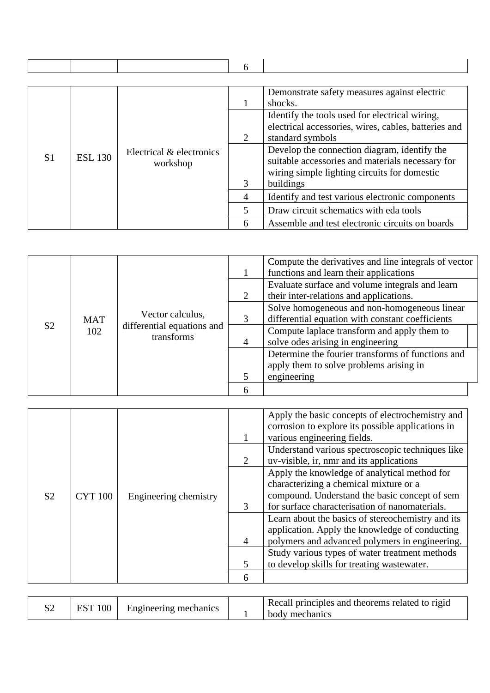|                |                                                                                 |                                                      | 6                       |                                                  |
|----------------|---------------------------------------------------------------------------------|------------------------------------------------------|-------------------------|--------------------------------------------------|
|                |                                                                                 |                                                      |                         |                                                  |
|                |                                                                                 |                                                      |                         | Demonstrate safety measures against electric     |
|                |                                                                                 |                                                      |                         | shocks.                                          |
|                |                                                                                 |                                                      |                         | Identify the tools used for electrical wiring,   |
|                | $\mathcal{D}_{\cdot}$<br>Electrical & electronics<br><b>ESL 130</b><br>workshop | electrical accessories, wires, cables, batteries and |                         |                                                  |
|                |                                                                                 | standard symbols                                     |                         |                                                  |
|                |                                                                                 | 3<br>buildings                                       |                         | Develop the connection diagram, identify the     |
| S <sub>1</sub> |                                                                                 |                                                      |                         | suitable accessories and materials necessary for |
|                |                                                                                 |                                                      |                         | wiring simple lighting circuits for domestic     |
|                |                                                                                 |                                                      |                         |                                                  |
|                |                                                                                 |                                                      |                         | Identify and test various electronic components  |
|                |                                                                                 |                                                      | $\overline{\mathbf{z}}$ | Draw circuit schematics with eda tools           |
|                |                                                                                 |                                                      | 6                       | Assemble and test electronic circuits on boards  |

| S <sub>2</sub> |                                                     |                            |   | Compute the derivatives and line integrals of vector<br>functions and learn their applications   |  |  |
|----------------|-----------------------------------------------------|----------------------------|---|--------------------------------------------------------------------------------------------------|--|--|
|                | Vector calculus,<br><b>MAT</b><br>102<br>transforms | differential equations and | 2 | Evaluate surface and volume integrals and learn<br>their inter-relations and applications.       |  |  |
|                |                                                     |                            | 3 | Solve homogeneous and non-homogeneous linear<br>differential equation with constant coefficients |  |  |
|                |                                                     |                            | 4 | Compute laplace transform and apply them to<br>solve odes arising in engineering                 |  |  |
|                |                                                     |                            |   | Determine the fourier transforms of functions and<br>apply them to solve problems arising in     |  |  |
|                |                                                     |                            |   | engineering                                                                                      |  |  |
|                |                                                     |                            | 6 |                                                                                                  |  |  |

|  |                                  |                       |                | Apply the basic concepts of electrochemistry and<br>corrosion to explore its possible applications in<br>various engineering fields.                                                      |
|--|----------------------------------|-----------------------|----------------|-------------------------------------------------------------------------------------------------------------------------------------------------------------------------------------------|
|  | <b>CYT 100</b><br>S <sub>2</sub> |                       | 2              | Understand various spectroscopic techniques like<br>uv-visible, ir, nmr and its applications                                                                                              |
|  |                                  | Engineering chemistry | $\mathcal{R}$  | Apply the knowledge of analytical method for<br>characterizing a chemical mixture or a<br>compound. Understand the basic concept of sem<br>for surface characterisation of nanomaterials. |
|  |                                  |                       | $\overline{4}$ | Learn about the basics of stereochemistry and its<br>application. Apply the knowledge of conducting<br>polymers and advanced polymers in engineering.                                     |
|  |                                  |                       | 5              | Study various types of water treatment methods<br>to develop skills for treating wastewater.                                                                                              |
|  |                                  |                       | 6              |                                                                                                                                                                                           |

| 100<br>Engineering mechanics |  | Recall principles and theorems related to rigid<br>body mechanics |
|------------------------------|--|-------------------------------------------------------------------|
|------------------------------|--|-------------------------------------------------------------------|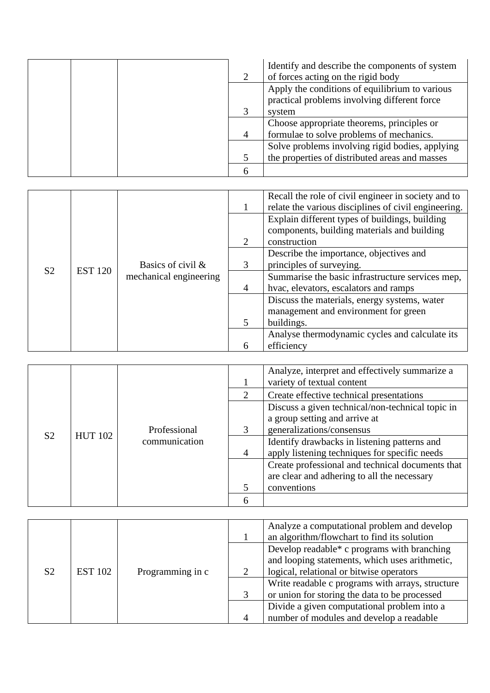|   | Identify and describe the components of system<br>of forces acting on the rigid body           |
|---|------------------------------------------------------------------------------------------------|
|   | Apply the conditions of equilibrium to various<br>practical problems involving different force |
|   | system                                                                                         |
|   | Choose appropriate theorems, principles or                                                     |
|   | formulae to solve problems of mechanics.                                                       |
|   | Solve problems involving rigid bodies, applying                                                |
|   | the properties of distributed areas and masses                                                 |
| n |                                                                                                |

|                |                |                                             |                          | Recall the role of civil engineer in society and to<br>relate the various disciplines of civil engineering.   |
|----------------|----------------|---------------------------------------------|--------------------------|---------------------------------------------------------------------------------------------------------------|
|                | <b>EST 120</b> | Basics of civil &<br>mechanical engineering | $\mathcal{D}_{\cdot}$    | Explain different types of buildings, building<br>components, building materials and building<br>construction |
|                |                |                                             | 3                        | Describe the importance, objectives and<br>principles of surveying.                                           |
| S <sub>2</sub> |                |                                             | $\overline{4}$           | Summarise the basic infrastructure services mep,<br>hvac, elevators, escalators and ramps                     |
|                |                |                                             |                          | Discuss the materials, energy systems, water<br>management and environment for green                          |
|                |                |                                             | $\overline{\mathcal{L}}$ | buildings.                                                                                                    |
|                |                |                                             |                          | Analyse thermodynamic cycles and calculate its                                                                |
|                |                |                                             | 6                        | efficiency                                                                                                    |

|                |                |               |                             | Analyze, interpret and effectively summarize a<br>variety of textual content |
|----------------|----------------|---------------|-----------------------------|------------------------------------------------------------------------------|
|                |                |               | $\mathcal{D}_{\mathcal{L}}$ | Create effective technical presentations                                     |
|                |                |               |                             | Discuss a given technical/non-technical topic in                             |
|                |                |               |                             | a group setting and arrive at                                                |
| S <sub>2</sub> | <b>HUT 102</b> | Professional  | $\mathcal{R}$               | generalizations/consensus                                                    |
|                |                | communication |                             | Identify drawbacks in listening patterns and                                 |
|                |                |               | $\overline{4}$              | apply listening techniques for specific needs                                |
|                |                |               |                             | Create professional and technical documents that                             |
|                |                |               |                             | are clear and adhering to all the necessary                                  |
|                |                |               |                             | conventions                                                                  |
|                |                |               |                             |                                                                              |

|                |                |                  |                | Analyze a computational problem and develop<br>an algorithm/flowchart to find its solution |
|----------------|----------------|------------------|----------------|--------------------------------------------------------------------------------------------|
|                |                |                  |                | Develop readable* c programs with branching                                                |
|                |                |                  |                | and looping statements, which uses arithmetic,                                             |
| S <sub>2</sub> | <b>EST 102</b> | Programming in c |                | logical, relational or bitwise operators                                                   |
|                |                |                  |                | Write readable c programs with arrays, structure                                           |
|                |                |                  |                | or union for storing the data to be processed                                              |
|                |                |                  |                | Divide a given computational problem into a                                                |
|                |                |                  | $\overline{A}$ | number of modules and develop a readable                                                   |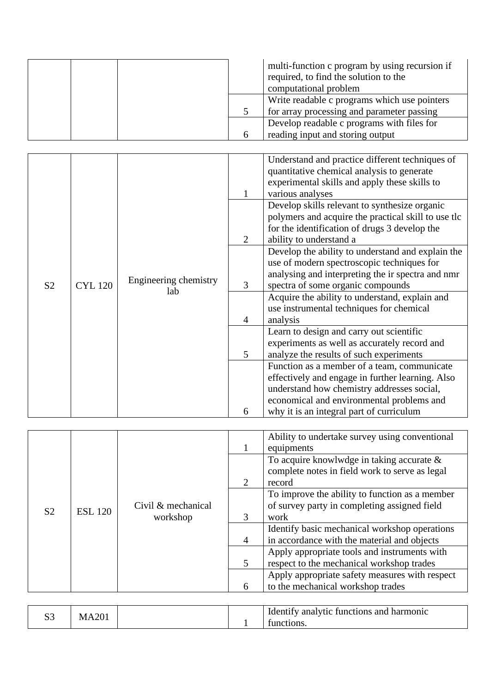|  | multi-function c program by using recursion if<br>required, to find the solution to the<br>computational problem |
|--|------------------------------------------------------------------------------------------------------------------|
|  | Write readable c programs which use pointers                                                                     |
|  | for array processing and parameter passing                                                                       |
|  | Develop readable c programs with files for                                                                       |
|  | reading input and storing output                                                                                 |

|                |                |                       |                | Understand and practice different techniques of     |
|----------------|----------------|-----------------------|----------------|-----------------------------------------------------|
|                |                |                       |                | quantitative chemical analysis to generate          |
|                |                |                       |                | experimental skills and apply these skills to       |
|                |                |                       |                | various analyses                                    |
|                |                |                       |                | Develop skills relevant to synthesize organic       |
|                |                |                       |                | polymers and acquire the practical skill to use tlc |
|                |                |                       |                | for the identification of drugs 3 develop the       |
|                |                |                       | $\overline{2}$ | ability to understand a                             |
|                |                |                       |                | Develop the ability to understand and explain the   |
|                |                |                       |                | use of modern spectroscopic techniques for          |
|                |                |                       |                | analysing and interpreting the ir spectra and nmr   |
| S <sub>2</sub> | <b>CYL 120</b> | Engineering chemistry | 3              | spectra of some organic compounds                   |
|                |                | lab                   |                | Acquire the ability to understand, explain and      |
|                |                |                       |                | use instrumental techniques for chemical            |
|                |                |                       | 4              | analysis                                            |
|                |                |                       |                | Learn to design and carry out scientific            |
|                |                |                       |                | experiments as well as accurately record and        |
|                |                |                       | 5              | analyze the results of such experiments             |
|                |                |                       |                | Function as a member of a team, communicate         |
|                |                |                       |                | effectively and engage in further learning. Also    |
|                |                |                       |                | understand how chemistry addresses social,          |
|                |                |                       |                | economical and environmental problems and           |
|                |                |                       | 6              | why it is an integral part of curriculum            |

|                |                |                    |                | Ability to undertake survey using conventional<br>equipments                                             |
|----------------|----------------|--------------------|----------------|----------------------------------------------------------------------------------------------------------|
|                |                |                    | 2              | To acquire knowlwdge in taking accurate $\&$<br>complete notes in field work to serve as legal<br>record |
|                |                |                    |                | To improve the ability to function as a member                                                           |
| S <sub>2</sub> | <b>ESL 120</b> | Civil & mechanical |                | of survey party in completing assigned field                                                             |
|                |                | workshop           | $\mathcal{R}$  | work                                                                                                     |
|                |                |                    |                | Identify basic mechanical workshop operations                                                            |
|                |                |                    | $\overline{4}$ | in accordance with the material and objects                                                              |
|                |                |                    |                | Apply appropriate tools and instruments with                                                             |
|                |                |                    | $\mathfrak{S}$ | respect to the mechanical workshop trades                                                                |
|                |                |                    |                | Apply appropriate safety measures with respect                                                           |
|                |                |                    | 6              | to the mechanical workshop trades                                                                        |

|  | $\Omega$<br>ΙVΙ |  |  | Identify analytic functions and harmonic<br>tunctions. |  |
|--|-----------------|--|--|--------------------------------------------------------|--|
|--|-----------------|--|--|--------------------------------------------------------|--|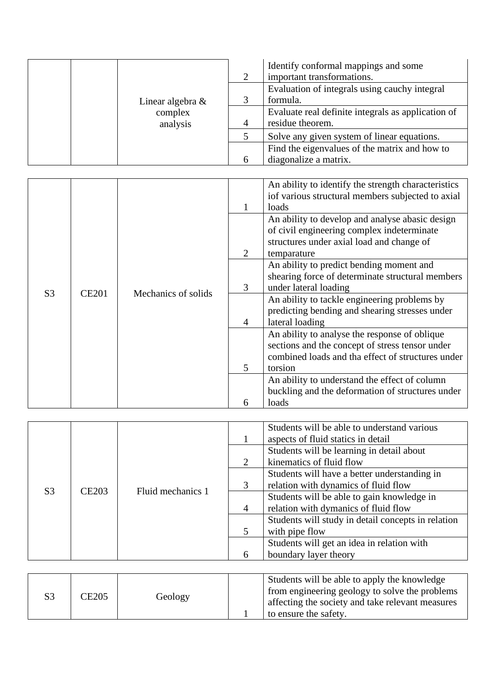|                     |   | Identify conformal mappings and some<br>important transformations. |
|---------------------|---|--------------------------------------------------------------------|
|                     |   | Evaluation of integrals using cauchy integral                      |
| Linear algebra $\&$ |   | formula.                                                           |
| complex             |   | Evaluate real definite integrals as application of                 |
| analysis            | 4 | residue theorem.                                                   |
|                     |   | Solve any given system of linear equations.                        |
|                     |   | Find the eigenvalues of the matrix and how to                      |
|                     |   | diagonalize a matrix.                                              |

|                |              |                     |                | An ability to identify the strength characteristics |
|----------------|--------------|---------------------|----------------|-----------------------------------------------------|
|                |              |                     |                | iof various structural members subjected to axial   |
|                |              |                     |                | loads                                               |
|                |              |                     |                | An ability to develop and analyse abasic design     |
|                |              |                     |                | of civil engineering complex indeterminate          |
|                |              |                     |                | structures under axial load and change of           |
|                |              |                     | 2              | temparature                                         |
|                |              |                     |                | An ability to predict bending moment and            |
|                |              |                     |                | shearing force of determinate structural members    |
| S <sub>3</sub> | <b>CE201</b> | Mechanics of solids | 3              | under lateral loading                               |
|                |              |                     |                | An ability to tackle engineering problems by        |
|                |              |                     |                | predicting bending and shearing stresses under      |
|                |              |                     | $\overline{4}$ | lateral loading                                     |
|                |              |                     |                | An ability to analyse the response of oblique       |
|                |              |                     |                | sections and the concept of stress tensor under     |
|                |              |                     |                | combined loads and tha effect of structures under   |
|                |              |                     | 5              | torsion                                             |
|                |              |                     |                | An ability to understand the effect of column       |
|                |              |                     |                | buckling and the deformation of structures under    |
|                |              |                     | 6              | loads                                               |

|                |                   |                   |                | Students will be able to understand various<br>aspects of fluid statics in detail |
|----------------|-------------------|-------------------|----------------|-----------------------------------------------------------------------------------|
|                |                   |                   |                | Students will be learning in detail about                                         |
|                |                   |                   | 2              | kinematics of fluid flow                                                          |
|                | CE <sub>203</sub> |                   |                | Students will have a better understanding in                                      |
| S <sub>3</sub> |                   | Fluid mechanics 1 | 3              | relation with dynamics of fluid flow                                              |
|                |                   |                   |                | Students will be able to gain knowledge in                                        |
|                |                   |                   | $\overline{4}$ | relation with dymanics of fluid flow                                              |
|                |                   |                   |                | Students will study in detail concepts in relation                                |
|                |                   |                   | .5             | with pipe flow                                                                    |
|                |                   |                   |                | Students will get an idea in relation with                                        |
|                |                   |                   | 6              | boundary layer theory                                                             |

| S3 | CE205 | Geology |  | Students will be able to apply the knowledge<br>from engineering geology to solve the problems<br>affecting the society and take relevant measures<br>to ensure the safety. |
|----|-------|---------|--|-----------------------------------------------------------------------------------------------------------------------------------------------------------------------------|
|----|-------|---------|--|-----------------------------------------------------------------------------------------------------------------------------------------------------------------------------|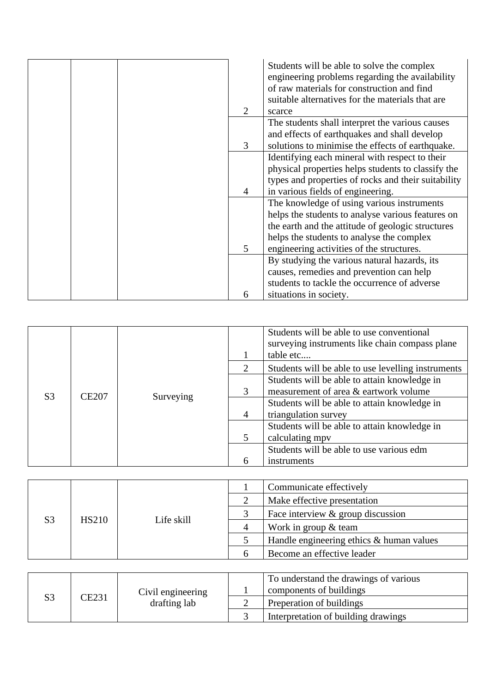|                             | Students will be able to solve the complex<br>engineering problems regarding the availability<br>of raw materials for construction and find |
|-----------------------------|---------------------------------------------------------------------------------------------------------------------------------------------|
|                             | suitable alternatives for the materials that are                                                                                            |
| $\mathcal{D}_{\mathcal{L}}$ | scarce                                                                                                                                      |
|                             | The students shall interpret the various causes                                                                                             |
|                             | and effects of earthquakes and shall develop                                                                                                |
| 3                           | solutions to minimise the effects of earthquake.                                                                                            |
|                             | Identifying each mineral with respect to their                                                                                              |
|                             | physical properties helps students to classify the                                                                                          |
|                             | types and properties of rocks and their suitability                                                                                         |
| 4                           | in various fields of engineering.                                                                                                           |
|                             | The knowledge of using various instruments                                                                                                  |
|                             | helps the students to analyse various features on                                                                                           |
|                             | the earth and the attitude of geologic structures                                                                                           |
|                             | helps the students to analyse the complex                                                                                                   |
| 5                           | engineering activities of the structures.                                                                                                   |
|                             | By studying the various natural hazards, its                                                                                                |
|                             | causes, remedies and prevention can help                                                                                                    |
|                             | students to tackle the occurrence of adverse                                                                                                |
| 6                           | situations in society.                                                                                                                      |

|                                |  |           |                                                                                       | Students will be able to use conventional<br>surveying instruments like chain compass plane<br>table etc |
|--------------------------------|--|-----------|---------------------------------------------------------------------------------------|----------------------------------------------------------------------------------------------------------|
|                                |  |           | 2                                                                                     | Students will be able to use levelling instruments                                                       |
| S <sub>3</sub><br><b>CE207</b> |  | 3         | Students will be able to attain knowledge in<br>measurement of area & eartwork volume |                                                                                                          |
|                                |  | Surveying | $\overline{4}$                                                                        | Students will be able to attain knowledge in<br>triangulation survey                                     |
|                                |  |           | 5                                                                                     | Students will be able to attain knowledge in<br>calculating mpy                                          |
|                                |  |           |                                                                                       | Students will be able to use various edm                                                                 |
|                                |  |           | 6                                                                                     | instruments                                                                                              |

|    |              |            | Communicate effectively                  |
|----|--------------|------------|------------------------------------------|
|    |              |            | Make effective presentation              |
| S3 | <b>HS210</b> | Life skill | Face interview $\&$ group discussion     |
|    |              |            | Work in group $&$ team                   |
|    |              |            | Handle engineering ethics & human values |
|    |              |            | Become an effective leader               |

| S3 | CE231 | Civil engineering<br>drafting lab | To understand the drawings of various |
|----|-------|-----------------------------------|---------------------------------------|
|    |       |                                   | components of buildings               |
|    |       |                                   | Preperation of buildings              |
|    |       |                                   | Interpretation of building drawings   |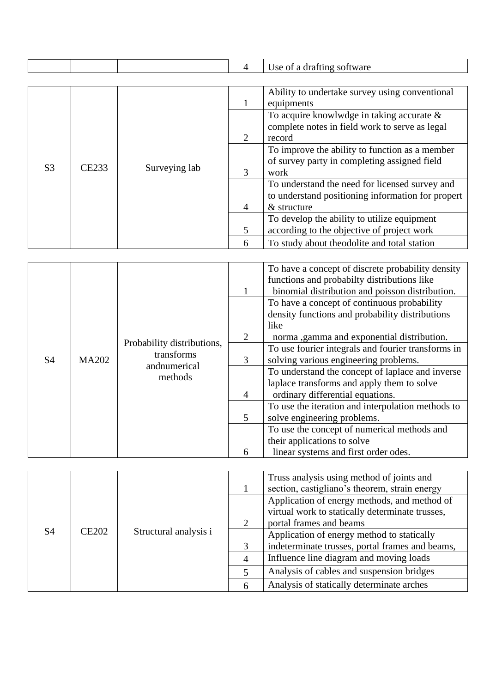|                |       |               | $\overline{4}$ | Use of a drafting software                                                                                           |
|----------------|-------|---------------|----------------|----------------------------------------------------------------------------------------------------------------------|
|                |       |               |                |                                                                                                                      |
|                |       |               |                | Ability to undertake survey using conventional<br>equipments                                                         |
| S <sub>3</sub> |       | Surveying lab | 2              | To acquire knowlwdge in taking accurate $\&$<br>complete notes in field work to serve as legal<br>record             |
|                | CE233 |               | 3              | To improve the ability to function as a member<br>of survey party in completing assigned field<br>work               |
|                |       |               | $\overline{4}$ | To understand the need for licensed survey and<br>to understand positioning information for propert<br>$&$ structure |
|                |       |               | 5              | To develop the ability to utilize equipment<br>according to the objective of project work                            |
|                |       |               | 6              | To study about theodolite and total station                                                                          |

|                | <b>MA202</b> |                                                                     |                | To have a concept of discrete probability density<br>functions and probabilty distributions like<br>binomial distribution and poisson distribution.  |
|----------------|--------------|---------------------------------------------------------------------|----------------|------------------------------------------------------------------------------------------------------------------------------------------------------|
|                |              | Probability distributions,<br>transforms<br>andnumerical<br>methods | 2              | To have a concept of continuous probability<br>density functions and probability distributions<br>like<br>norma ,gamma and exponential distribution. |
| S <sub>4</sub> |              |                                                                     | 3              | To use fourier integrals and fourier transforms in<br>solving various engineering problems.                                                          |
|                |              |                                                                     | $\overline{4}$ | To understand the concept of laplace and inverse<br>laplace transforms and apply them to solve<br>ordinary differential equations.                   |
|                |              |                                                                     | 5              | To use the iteration and interpolation methods to<br>solve engineering problems.                                                                     |
|                |              |                                                                     |                | To use the concept of numerical methods and<br>their applications to solve                                                                           |
|                |              |                                                                     | 6              | linear systems and first order odes.                                                                                                                 |

|    | <b>CE202</b> | Structural analysis i |   | Truss analysis using method of joints and<br>section, castigliano's theorem, strain energy                                 |
|----|--------------|-----------------------|---|----------------------------------------------------------------------------------------------------------------------------|
|    |              |                       | 2 | Application of energy methods, and method of<br>virtual work to statically determinate trusses,<br>portal frames and beams |
| S4 |              |                       |   | Application of energy method to statically                                                                                 |
|    |              |                       | 3 | indeterminate trusses, portal frames and beams,                                                                            |
|    |              |                       | 4 | Influence line diagram and moving loads                                                                                    |
|    |              |                       |   | Analysis of cables and suspension bridges                                                                                  |
|    |              |                       | 6 | Analysis of statically determinate arches                                                                                  |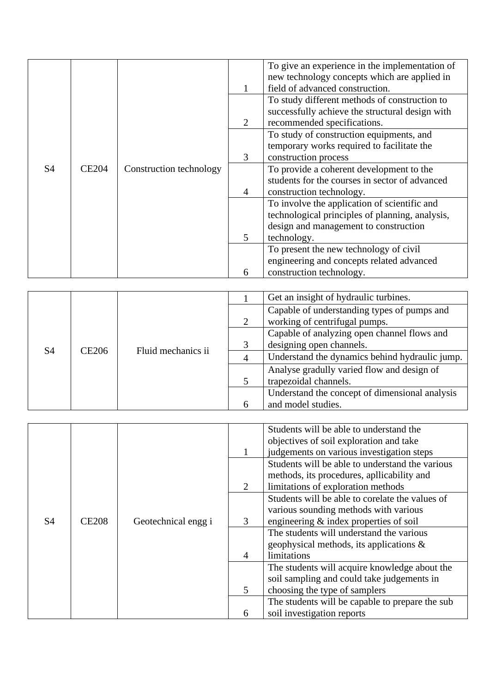|           |              |                         |                | To give an experience in the implementation of<br>new technology concepts which are applied in |
|-----------|--------------|-------------------------|----------------|------------------------------------------------------------------------------------------------|
|           |              |                         |                | field of advanced construction.                                                                |
|           |              |                         |                | To study different methods of construction to                                                  |
|           |              |                         |                | successfully achieve the structural design with                                                |
|           |              |                         | 2              | recommended specifications.                                                                    |
|           |              |                         |                | To study of construction equipments, and                                                       |
|           |              | Construction technology |                | temporary works required to facilitate the                                                     |
|           | <b>CE204</b> |                         | 3              | construction process                                                                           |
| <b>S4</b> |              |                         |                | To provide a coherent development to the                                                       |
|           |              |                         |                | students for the courses in sector of advanced                                                 |
|           |              |                         | 4              | construction technology.                                                                       |
|           |              |                         |                | To involve the application of scientific and                                                   |
|           |              |                         |                | technological principles of planning, analysis,                                                |
|           |              |                         |                | design and management to construction                                                          |
|           |              |                         | $\mathfrak{H}$ | technology.                                                                                    |
|           |              |                         |                | To present the new technology of civil                                                         |
|           |              |                         |                | engineering and concepts related advanced                                                      |
|           |              |                         | 6              | construction technology.                                                                       |

|    |                   |                    |                                             | Get an insight of hydraulic turbines.                                        |
|----|-------------------|--------------------|---------------------------------------------|------------------------------------------------------------------------------|
|    |                   |                    | 2                                           | Capable of understanding types of pumps and<br>working of centrifugal pumps. |
|    |                   |                    | Capable of analyzing open channel flows and |                                                                              |
|    | CE <sub>206</sub> | Fluid mechanics ii | 3                                           | designing open channels.                                                     |
| S4 |                   |                    |                                             | Understand the dynamics behind hydraulic jump.                               |
|    |                   |                    |                                             | Analyse gradully varied flow and design of                                   |
|    |                   |                    |                                             | trapezoidal channels.                                                        |
|    |                   |                    |                                             | Understand the concept of dimensional analysis                               |
|    |                   |                    |                                             | and model studies.                                                           |

|    |              |                     |                | Students will be able to understand the          |
|----|--------------|---------------------|----------------|--------------------------------------------------|
|    |              |                     |                | objectives of soil exploration and take          |
|    |              |                     |                | judgements on various investigation steps        |
|    |              |                     |                | Students will be able to understand the various  |
|    |              |                     |                | methods, its procedures, apllicability and       |
|    |              |                     |                | limitations of exploration methods               |
|    |              |                     |                | Students will be able to corelate the values of  |
|    |              |                     |                | various sounding methods with various            |
| S4 | <b>CE208</b> | Geotechnical engg i | 3              | engineering $\&$ index properties of soil        |
|    |              |                     |                | The students will understand the various         |
|    |              |                     |                | geophysical methods, its applications $\&$       |
|    |              |                     | $\overline{4}$ | limitations                                      |
|    |              |                     |                | The students will acquire knowledge about the    |
|    |              |                     |                | soil sampling and could take judgements in       |
|    |              |                     | 5              | choosing the type of samplers                    |
|    |              |                     |                | The students will be capable to prepare the sub- |
|    |              |                     | 6              | soil investigation reports                       |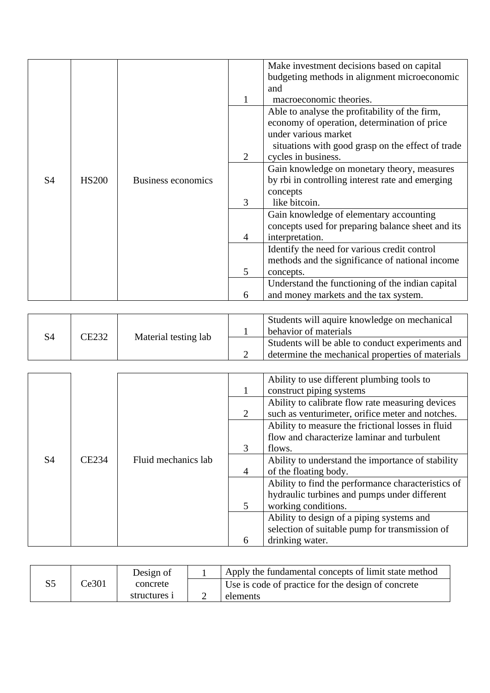|                |              |                    |   | Make investment decisions based on capital        |
|----------------|--------------|--------------------|---|---------------------------------------------------|
|                |              |                    |   | budgeting methods in alignment microeconomic      |
|                |              |                    |   |                                                   |
|                |              |                    |   | and                                               |
|                |              |                    |   | macroeconomic theories.                           |
|                |              |                    |   | Able to analyse the profitability of the firm,    |
|                |              |                    |   | economy of operation, determination of price      |
|                |              |                    |   | under various market                              |
|                |              |                    |   | situations with good grasp on the effect of trade |
|                |              |                    | 2 | cycles in business.                               |
|                |              |                    |   | Gain knowledge on monetary theory, measures       |
| S <sub>4</sub> | <b>HS200</b> | Business economics |   | by rbi in controlling interest rate and emerging  |
|                |              |                    |   | concepts                                          |
|                |              |                    | 3 | like bitcoin.                                     |
|                |              |                    |   | Gain knowledge of elementary accounting           |
|                |              |                    |   | concepts used for preparing balance sheet and its |
|                |              |                    | 4 | interpretation.                                   |
|                |              |                    |   | Identify the need for various credit control      |
|                |              |                    |   | methods and the significance of national income   |
|                |              |                    | 5 | concepts.                                         |
|                |              |                    |   | Understand the functioning of the indian capital  |
|                |              |                    | 6 | and money markets and the tax system.             |

| S4 | CE232 | Material testing lab | Students will aquire knowledge on mechanical<br>behavior of materials |
|----|-------|----------------------|-----------------------------------------------------------------------|
|    |       |                      | Students will be able to conduct experiments and                      |
|    |       |                      | determine the mechanical properties of materials                      |

|                |       |                     |                | Ability to use different plumbing tools to         |
|----------------|-------|---------------------|----------------|----------------------------------------------------|
|                |       |                     |                | construct piping systems                           |
|                |       |                     |                |                                                    |
|                |       |                     |                | Ability to calibrate flow rate measuring devices   |
|                |       |                     | 2              | such as venturimeter, orifice meter and notches.   |
|                |       |                     |                | Ability to measure the frictional losses in fluid  |
|                |       |                     |                | flow and characterize laminar and turbulent        |
| S <sub>4</sub> |       |                     | $\mathcal{R}$  | flows.                                             |
|                | CE234 | Fluid mechanics lab |                | Ability to understand the importance of stability  |
|                |       |                     | $\overline{4}$ | of the floating body.                              |
|                |       |                     |                | Ability to find the performance characteristics of |
|                |       |                     |                | hydraulic turbines and pumps under different       |
|                |       |                     | 5              | working conditions.                                |
|                |       |                     |                | Ability to design of a piping systems and          |
|                |       |                     |                | selection of suitable pump for transmission of     |
|                |       |                     | 6              | drinking water.                                    |

|       | Design of    | Apply the fundamental concepts of limit state method |
|-------|--------------|------------------------------------------------------|
| Ce301 | concrete     | Use is code of practice for the design of concrete   |
|       | structures i | elements                                             |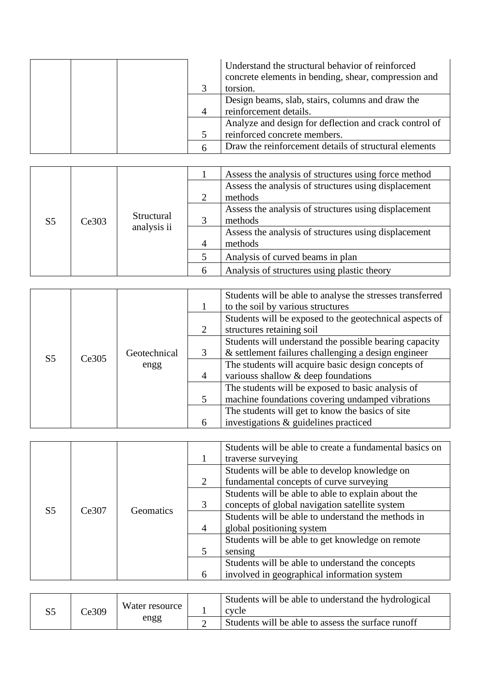|  |  | Understand the structural behavior of reinforced<br>concrete elements in bending, shear, compression and |
|--|--|----------------------------------------------------------------------------------------------------------|
|  |  | torsion.                                                                                                 |
|  |  | Design beams, slab, stairs, columns and draw the                                                         |
|  |  | reinforcement details.                                                                                   |
|  |  | Analyze and design for deflection and crack control of                                                   |
|  |  | reinforced concrete members.                                                                             |
|  |  | Draw the reinforcement details of structural elements                                                    |

|                |       |                                             |         | Assess the analysis of structures using force method |
|----------------|-------|---------------------------------------------|---------|------------------------------------------------------|
|                |       |                                             |         | Assess the analysis of structures using displacement |
|                |       |                                             |         | methods                                              |
|                |       |                                             |         | Assess the analysis of structures using displacement |
| S <sub>5</sub> | Ce303 | Structural<br>analysis ii<br>$\overline{4}$ |         | methods                                              |
|                |       |                                             |         | Assess the analysis of structures using displacement |
|                |       |                                             | methods |                                                      |
|                |       |                                             |         | Analysis of curved beams in plan                     |
|                |       |                                             | 6       | Analysis of structures using plastic theory          |

|                |       |              |                | Students will be able to analyse the stresses transferred<br>to the soil by various structures                |
|----------------|-------|--------------|----------------|---------------------------------------------------------------------------------------------------------------|
|                |       |              | 2              | Students will be exposed to the geotechnical aspects of<br>structures retaining soil                          |
|                |       | Geotechnical |                | Students will understand the possible bearing capacity<br>& settlement failures challenging a design engineer |
| S <sub>5</sub> | Ce305 | engg         | $\overline{4}$ | The students will acquire basic design concepts of<br>various shallow $\&$ deep foundations                   |
|                |       |              |                | The students will be exposed to basic analysis of<br>machine foundations covering undamped vibrations         |
|                |       |              |                | The students will get to know the basics of site                                                              |
|                |       |              | 6              | investigations & guidelines practiced                                                                         |

|                |       |                  |                | Students will be able to create a fundamental basics on |
|----------------|-------|------------------|----------------|---------------------------------------------------------|
|                |       |                  |                | traverse surveying                                      |
|                |       |                  |                | Students will be able to develop knowledge on           |
|                |       |                  | 2              | fundamental concepts of curve surveying                 |
|                |       |                  |                | Students will be able to able to explain about the      |
| S <sub>5</sub> | Ce307 | <b>Geomatics</b> | 3              | concepts of global navigation satellite system          |
|                |       |                  |                | Students will be able to understand the methods in      |
|                |       |                  | $\overline{4}$ | global positioning system                               |
|                |       |                  |                | Students will be able to get knowledge on remote        |
|                |       |                  | 5              | sensing                                                 |
|                |       |                  |                | Students will be able to understand the concepts        |
|                |       |                  | 6              | involved in geographical information system             |

| Ce309 | Water resource                                     | Students will be able to understand the hydrological<br>cycle |
|-------|----------------------------------------------------|---------------------------------------------------------------|
| engg  | Students will be able to assess the surface runoff |                                                               |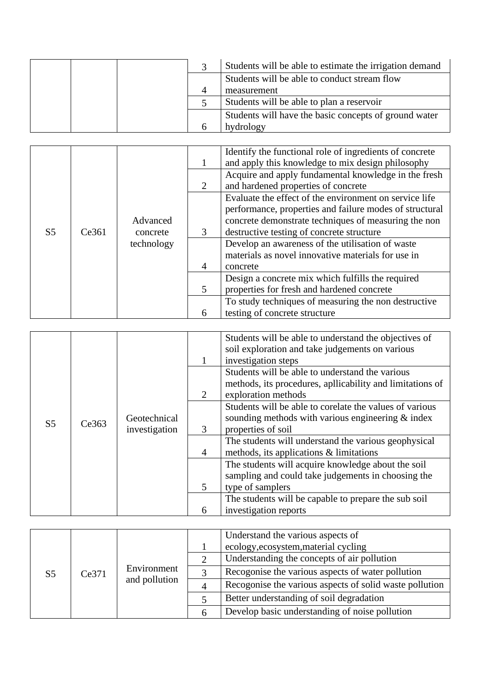|  |  | Students will be able to estimate the irrigation demand |
|--|--|---------------------------------------------------------|
|  |  | Students will be able to conduct stream flow            |
|  |  | measurement                                             |
|  |  | Students will be able to plan a reservoir               |
|  |  | Students will have the basic concepts of ground water   |
|  |  | hydrology                                               |

|                |                   |                                                   |                | Identify the functional role of ingredients of concrete |
|----------------|-------------------|---------------------------------------------------|----------------|---------------------------------------------------------|
|                |                   |                                                   |                | and apply this knowledge to mix design philosophy       |
|                |                   |                                                   |                | Acquire and apply fundamental knowledge in the fresh    |
|                |                   |                                                   | 2              | and hardened properties of concrete                     |
|                |                   |                                                   |                | Evaluate the effect of the environment on service life  |
|                |                   |                                                   |                | performance, properties and failure modes of structural |
|                |                   | Advanced                                          |                | concrete demonstrate techniques of measuring the non    |
| S <sub>5</sub> | Ce361<br>concrete |                                                   | 3              | destructive testing of concrete structure               |
|                |                   | technology                                        |                | Develop an awareness of the utilisation of waste        |
|                |                   |                                                   |                | materials as novel innovative materials for use in      |
|                |                   |                                                   | $\overline{A}$ | concrete                                                |
|                |                   | Design a concrete mix which fulfills the required |                |                                                         |
|                |                   |                                                   | 5              | properties for fresh and hardened concrete              |
|                |                   |                                                   |                | To study techniques of measuring the non destructive    |
|                |                   |                                                   | 6              | testing of concrete structure                           |

|                |       |               |                | Students will be able to understand the objectives of     |
|----------------|-------|---------------|----------------|-----------------------------------------------------------|
|                |       |               |                | soil exploration and take judgements on various           |
|                |       |               |                | investigation steps                                       |
|                |       |               |                | Students will be able to understand the various           |
|                |       |               |                | methods, its procedures, apllicability and limitations of |
|                |       |               | 2              | exploration methods                                       |
|                |       |               |                | Students will be able to corelate the values of various   |
|                |       | Geotechnical  |                | sounding methods with various engineering $&index$        |
| S <sub>5</sub> | Ce363 | investigation | 3              | properties of soil                                        |
|                |       |               |                | The students will understand the various geophysical      |
|                |       |               | $\overline{4}$ | methods, its applications & limitations                   |
|                |       |               |                | The students will acquire knowledge about the soil        |
|                |       |               |                | sampling and could take judgements in choosing the        |
|                |       |               | 5              | type of samplers                                          |
|                |       |               |                | The students will be capable to prepare the sub soil      |
|                |       |               | 6              | investigation reports                                     |

|                |       |                              | Understand the various aspects of                       |
|----------------|-------|------------------------------|---------------------------------------------------------|
|                |       |                              | ecology, ecosystem, material cycling                    |
|                |       |                              | Understanding the concepts of air pollution             |
| S <sub>5</sub> | Ce371 | Environment<br>and pollution | Recogonise the various aspects of water pollution       |
|                |       |                              | Recogonise the various aspects of solid waste pollution |
|                |       |                              | Better understanding of soil degradation                |
|                |       |                              | Develop basic understanding of noise pollution          |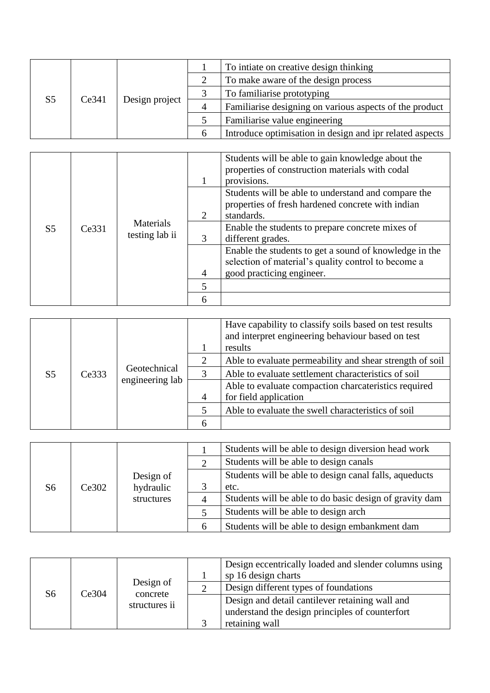|                |       |                | To intiate on creative design thinking                   |
|----------------|-------|----------------|----------------------------------------------------------|
|                |       |                | To make aware of the design process                      |
| S <sub>5</sub> | Ce341 |                | To familiarise prototyping                               |
|                |       | Design project | Familiarise designing on various aspects of the product  |
|                |       |                | Familiarise value engineering                            |
|                |       |                | Introduce optimisation in design and ipr related aspects |

|                | Ce331 | Materials<br>testing lab ii |                             | Students will be able to gain knowledge about the<br>properties of construction materials with codal<br>provisions.    |
|----------------|-------|-----------------------------|-----------------------------|------------------------------------------------------------------------------------------------------------------------|
| S <sub>5</sub> |       |                             | $\mathcal{D}_{\mathcal{L}}$ | Students will be able to understand and compare the<br>properties of fresh hardened concrete with indian<br>standards. |
|                |       |                             | $\mathcal{R}$               | Enable the students to prepare concrete mixes of<br>different grades.                                                  |
|                |       |                             |                             | Enable the students to get a sound of knowledge in the<br>selection of material's quality control to become a          |
|                |       |                             | $\overline{4}$              | good practicing engineer.                                                                                              |
|                |       |                             | 5                           |                                                                                                                        |
|                |       |                             | 6                           |                                                                                                                        |

|                |       | Geotechnical<br>engineering lab |                | Have capability to classify soils based on test results<br>and interpret engineering behaviour based on test<br>results |
|----------------|-------|---------------------------------|----------------|-------------------------------------------------------------------------------------------------------------------------|
|                |       |                                 | 2              | Able to evaluate permeability and shear strength of soil                                                                |
| S <sub>5</sub> | Ce333 |                                 |                | Able to evaluate settlement characteristics of soil                                                                     |
|                |       |                                 |                | Able to evaluate compaction charcateristics required                                                                    |
|                |       |                                 | $\overline{4}$ | for field application                                                                                                   |
|                |       |                                 |                | Able to evaluate the swell characteristics of soil                                                                      |
|                |       |                                 |                |                                                                                                                         |

|  |                                                     |   |                                                         | Students will be able to design diversion head work |
|--|-----------------------------------------------------|---|---------------------------------------------------------|-----------------------------------------------------|
|  |                                                     |   |                                                         | Students will be able to design canals              |
|  | Design of<br>hydraulic<br>S6<br>Ce302<br>structures |   | Students will be able to design canal falls, aqueducts  |                                                     |
|  |                                                     |   | etc.                                                    |                                                     |
|  |                                                     |   | Students will be able to do basic design of gravity dam |                                                     |
|  |                                                     |   | Students will be able to design arch                    |                                                     |
|  |                                                     | h | Students will be able to design embankment dam          |                                                     |

|    |       | Design of<br>concrete<br>structures ii | Design eccentrically loaded and slender columns using<br>sp 16 design charts |
|----|-------|----------------------------------------|------------------------------------------------------------------------------|
| S6 | Ce304 |                                        | Design different types of foundations                                        |
|    |       |                                        | Design and detail cantilever retaining wall and                              |
|    |       |                                        | understand the design principles of counterfort                              |
|    |       |                                        | retaining wall                                                               |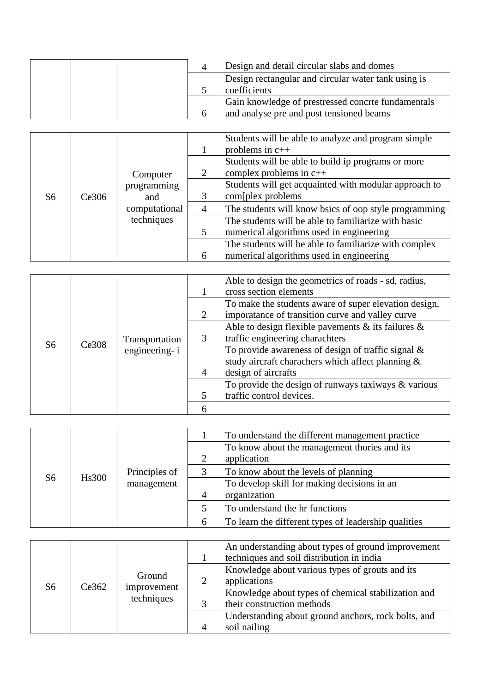|  | Design and detail circular slabs and domes          |
|--|-----------------------------------------------------|
|  | Design rectangular and circular water tank using is |
|  | coefficients                                        |
|  | Gain knowledge of prestressed concrte fundamentals  |
|  | and analyse pre and post tensioned beams            |

|    |       | Computer<br>programming<br>and<br>computational<br>techniques |                | Students will be able to analyze and program simple<br>problems in $c++$        |
|----|-------|---------------------------------------------------------------|----------------|---------------------------------------------------------------------------------|
|    |       |                                                               | 2              | Students will be able to build ip programs or more<br>complex problems in $c++$ |
| S6 | Ce306 |                                                               |                | Students will get acquainted with modular approach to<br>com[plex problems]     |
|    |       |                                                               | $\overline{A}$ | The students will know bsics of oop style programming                           |
|    |       |                                                               |                | The students will be able to familiarize with basic                             |
|    |       |                                                               | 5              | numerical algorithms used in engineering                                        |
|    |       |                                                               |                | The students will be able to familiarize with complex                           |
|    |       |                                                               | 6              | numerical algorithms used in engineering                                        |

|                |       |                                 |                | Able to design the geometrics of roads - sd, radius,     |
|----------------|-------|---------------------------------|----------------|----------------------------------------------------------|
|                |       |                                 |                | cross section elements                                   |
|                |       |                                 |                | To make the students aware of super elevation design,    |
|                |       |                                 | 2              | imporatance of transition curve and valley curve         |
|                |       | Transportation<br>engineering-i |                | Able to design flexible pavements $\&$ its failures $\&$ |
|                |       |                                 |                | traffic engineering charachters                          |
| S <sub>6</sub> | Ce308 |                                 |                | To provide awareness of design of traffic signal $\&$    |
|                |       |                                 |                | study aircraft charachers which affect planning &        |
|                |       |                                 | $\overline{4}$ | design of aircrafts                                      |
|                |       |                                 |                | To provide the design of runways taxiways $\&$ various   |
|                |       |                                 |                | traffic control devices.                                 |
|                |       |                                 |                |                                                          |

|    |              |                             |                | To understand the different management practice      |
|----|--------------|-----------------------------|----------------|------------------------------------------------------|
|    |              |                             |                | To know about the management thories and its         |
|    |              |                             |                | application                                          |
|    | <b>Hs300</b> | Principles of<br>management |                | To know about the levels of planning                 |
| S6 |              |                             |                | To develop skill for making decisions in an          |
|    |              |                             | $\overline{4}$ | organization                                         |
|    |              |                             |                | To understand the hr functions                       |
|    |              |                             | 6              | To learn the different types of leadership qualities |

|    | Ce362 | Ground<br>improvement<br>techniques | An understanding about types of ground improvement<br>techniques and soil distribution in india |
|----|-------|-------------------------------------|-------------------------------------------------------------------------------------------------|
|    |       |                                     | Knowledge about various types of grouts and its<br>applications                                 |
| S6 |       |                                     | Knowledge about types of chemical stabilization and                                             |
|    |       |                                     | their construction methods                                                                      |
|    |       |                                     | Understanding about ground anchors, rock bolts, and                                             |
|    |       |                                     | soil nailing                                                                                    |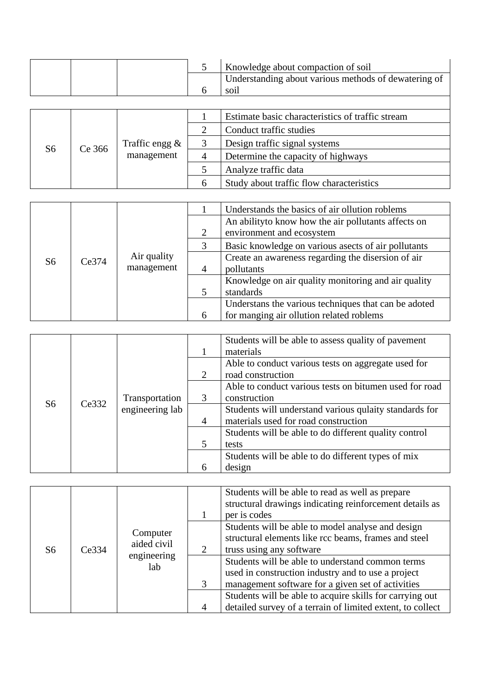|  |  | Knowledge about compaction of soil                   |
|--|--|------------------------------------------------------|
|  |  | Understanding about various methods of dewatering of |
|  |  | SO1l                                                 |
|  |  |                                                      |

|    |        | Traffic engg $\&$<br>management | Estimate basic characteristics of traffic stream |
|----|--------|---------------------------------|--------------------------------------------------|
|    | Ce 366 |                                 | Conduct traffic studies                          |
|    |        |                                 | Design traffic signal systems                    |
| S6 |        |                                 | Determine the capacity of highways               |
|    |        |                                 | Analyze traffic data                             |
|    |        |                                 | Study about traffic flow characteristics         |

|    |       |                           |                | Understands the basics of air ollution roblems       |
|----|-------|---------------------------|----------------|------------------------------------------------------|
|    |       |                           |                | An ability to know how the air pollutants affects on |
|    |       |                           |                | environment and ecosystem                            |
|    |       |                           |                | Basic knowledge on various asects of air pollutants  |
| S6 | Ce374 | Air quality<br>management |                | Create an awareness regarding the disersion of air   |
|    |       |                           | $\overline{A}$ | pollutants                                           |
|    |       |                           |                | Knowledge on air quality monitoring and air quality  |
|    |       |                           |                | standards                                            |
|    |       |                           |                | Understans the various techniques that can be adoted |
|    |       |                           | 6              | for manging air ollution related roblems             |

|                |       |                 |                | Students will be able to assess quality of pavement<br>materials |
|----------------|-------|-----------------|----------------|------------------------------------------------------------------|
|                |       |                 |                | Able to conduct various tests on aggregate used for              |
|                |       |                 | 2              | road construction                                                |
|                |       |                 |                | Able to conduct various tests on bitumen used for road           |
| S <sub>6</sub> | Ce332 | Transportation  | 3              | construction                                                     |
|                |       | engineering lab |                | Students will understand various qulaity standards for           |
|                |       |                 | $\overline{4}$ | materials used for road construction                             |
|                |       |                 |                | Students will be able to do different quality control            |
|                |       |                 | $\overline{5}$ | tests                                                            |
|                |       |                 |                | Students will be able to do different types of mix               |
|                |       |                 | 6              | design                                                           |

|    | Ce334 | Computer<br>aided civil<br>engineering<br>lab |                | Students will be able to read as well as prepare<br>structural drawings indicating reinforcement details as<br>per is codes                                 |
|----|-------|-----------------------------------------------|----------------|-------------------------------------------------------------------------------------------------------------------------------------------------------------|
| S6 |       |                                               |                | Students will be able to model analyse and design<br>structural elements like rcc beams, frames and steel<br>truss using any software                       |
|    |       |                                               | 3              | Students will be able to understand common terms<br>used in construction industry and to use a project<br>management software for a given set of activities |
|    |       |                                               | $\overline{4}$ | Students will be able to acquire skills for carrying out<br>detailed survey of a terrain of limited extent, to collect                                      |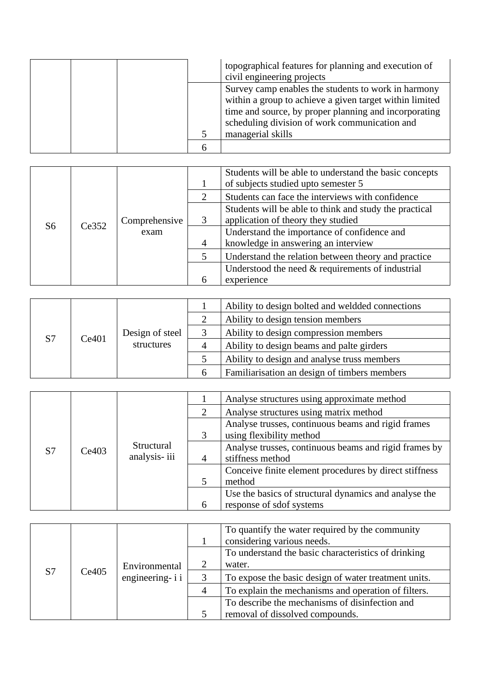|  |  | topographical features for planning and execution of<br>civil engineering projects                                                                                                                                                            |
|--|--|-----------------------------------------------------------------------------------------------------------------------------------------------------------------------------------------------------------------------------------------------|
|  |  | Survey camp enables the students to work in harmony<br>within a group to achieve a given target within limited<br>time and source, by proper planning and incorporating<br>scheduling division of work communication and<br>managerial skills |
|  |  |                                                                                                                                                                                                                                               |

|  |                                      |  | Students will be able to understand the basic concepts<br>of subjects studied upto semester 5 |                                                     |
|--|--------------------------------------|--|-----------------------------------------------------------------------------------------------|-----------------------------------------------------|
|  |                                      |  | 2                                                                                             | Students can face the interviews with confidence    |
|  | Comprehensive<br>Ce352<br>S6<br>exam |  | Students will be able to think and study the practical                                        |                                                     |
|  |                                      |  |                                                                                               | application of theory they studied                  |
|  |                                      |  |                                                                                               | Understand the importance of confidence and         |
|  |                                      |  | $\overline{4}$                                                                                | knowledge in answering an interview                 |
|  |                                      |  |                                                                                               | Understand the relation between theory and practice |
|  |                                      |  |                                                                                               | Understood the need $&$ requirements of industrial  |
|  |                                      |  | 6                                                                                             | experience                                          |

|    |                          |            |                                       | Ability to design bolted and weldded connections |
|----|--------------------------|------------|---------------------------------------|--------------------------------------------------|
|    |                          |            |                                       | Ability to design tension members                |
| S7 | Design of steel<br>Ce401 |            | Ability to design compression members |                                                  |
|    |                          | structures |                                       | Ability to design beams and palte girders        |
|    |                          |            |                                       | Ability to design and analyse truss members      |
|    |                          |            | h                                     | Familiarisation an design of timbers members     |

|    |       |                            |                          | Analyse structures using approximate method            |
|----|-------|----------------------------|--------------------------|--------------------------------------------------------|
|    |       |                            |                          | Analyse structures using matrix method                 |
|    |       |                            |                          | Analyse trusses, continuous beams and rigid frames     |
|    |       | Structural<br>analysis-iii |                          | using flexibility method                               |
| S7 | Ce403 |                            |                          | Analyse trusses, continuous beams and rigid frames by  |
|    |       |                            |                          | stiffness method                                       |
|    |       |                            |                          | Conceive finite element procedures by direct stiffness |
|    |       |                            |                          | method                                                 |
|    |       |                            |                          | Use the basics of structural dynamics and analyse the  |
|    |       | 6                          | response of sdof systems |                                                        |

|    |       |                                   | To quantify the water required by the community<br>considering various needs. |
|----|-------|-----------------------------------|-------------------------------------------------------------------------------|
|    |       |                                   | To understand the basic characteristics of drinking                           |
|    |       | Environmental<br>engineering- i i | water.                                                                        |
| S7 | Ce405 |                                   | To expose the basic design of water treatment units.                          |
|    |       |                                   | To explain the mechanisms and operation of filters.                           |
|    |       |                                   | To describe the mechanisms of disinfection and                                |
|    |       |                                   | removal of dissolved compounds.                                               |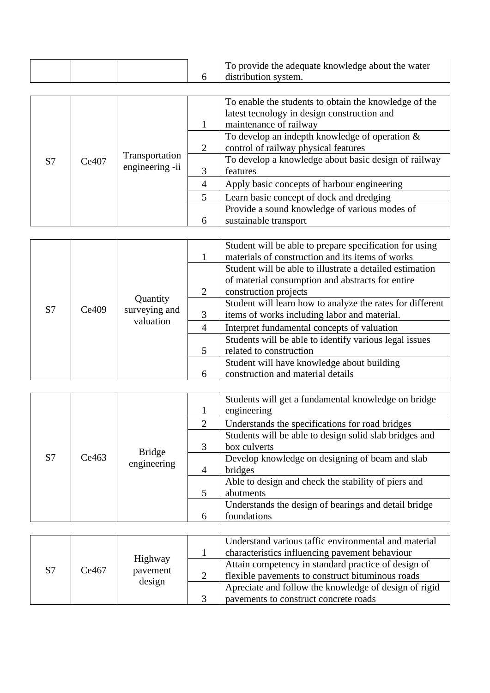|  |  | To provide the adequate knowledge about the water |
|--|--|---------------------------------------------------|
|  |  | distribution system.                              |

| S7 | Ce407 | Transportation  | 2              | To enable the students to obtain the knowledge of the<br>latest tecnology in design construction and<br>maintenance of railway<br>To develop an indepth knowledge of operation $\&$<br>control of railway physical features<br>To develop a knowledge about basic design of railway |
|----|-------|-----------------|----------------|-------------------------------------------------------------------------------------------------------------------------------------------------------------------------------------------------------------------------------------------------------------------------------------|
|    |       | engineering -ii | $\overline{4}$ | features<br>Apply basic concepts of harbour engineering                                                                                                                                                                                                                             |
|    |       |                 |                | Learn basic concept of dock and dredging                                                                                                                                                                                                                                            |
|    |       |                 |                | Provide a sound knowledge of various modes of                                                                                                                                                                                                                                       |
|    |       |                 | 6              | sustainable transport                                                                                                                                                                                                                                                               |

| S7 | Quantity<br>surveying and<br>Ce409<br>valuation |  | 2<br>3<br>4<br>6 | Student will be able to prepare specification for using<br>materials of construction and its items of works<br>Student will be able to illustrate a detailed estimation<br>of material consumption and abstracts for entire<br>construction projects<br>Student will learn how to analyze the rates for different<br>items of works including labor and material.<br>Interpret fundamental concepts of valuation<br>Students will be able to identify various legal issues<br>related to construction<br>Student will have knowledge about building<br>construction and material details |
|----|-------------------------------------------------|--|------------------|------------------------------------------------------------------------------------------------------------------------------------------------------------------------------------------------------------------------------------------------------------------------------------------------------------------------------------------------------------------------------------------------------------------------------------------------------------------------------------------------------------------------------------------------------------------------------------------|
|----|-------------------------------------------------|--|------------------|------------------------------------------------------------------------------------------------------------------------------------------------------------------------------------------------------------------------------------------------------------------------------------------------------------------------------------------------------------------------------------------------------------------------------------------------------------------------------------------------------------------------------------------------------------------------------------------|

|    |       |               |                | Students will get a fundamental knowledge on bridge<br>engineering |
|----|-------|---------------|----------------|--------------------------------------------------------------------|
|    |       |               | 2              | Understands the specifications for road bridges                    |
|    |       |               |                | Students will be able to design solid slab bridges and             |
|    |       | <b>Bridge</b> | 3              | box culverts                                                       |
| S7 | Ce463 | engineering   |                | Develop knowledge on designing of beam and slab                    |
|    |       |               | $\overline{4}$ | bridges                                                            |
|    |       |               |                | Able to design and check the stability of piers and                |
|    |       |               | .5             | abutments                                                          |
|    |       |               |                | Understands the design of bearings and detail bridge               |
|    |       |               | 6              | foundations                                                        |

|                |                              |                                                                                                         | Understand various taffic environmental and material<br>characteristics influencing pavement behaviour |
|----------------|------------------------------|---------------------------------------------------------------------------------------------------------|--------------------------------------------------------------------------------------------------------|
| S <sub>7</sub> | Highway<br>Ce467<br>pavement | Attain competency in standard practice of design of<br>flexible pavements to construct bituminous roads |                                                                                                        |
|                |                              | design                                                                                                  | Apreciate and follow the knowledge of design of rigid<br>payements to construct concrete roads         |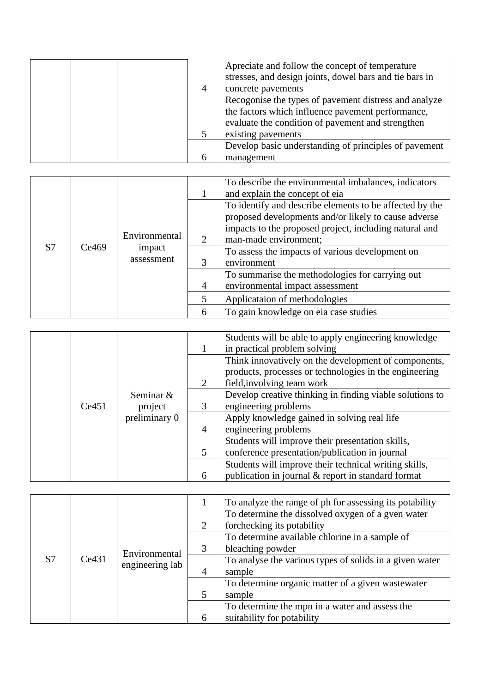|  | Apreciate and follow the concept of temperature<br>stresses, and design joints, dowel bars and tie bars in<br>concrete pavements                                                      |
|--|---------------------------------------------------------------------------------------------------------------------------------------------------------------------------------------|
|  | Recogonise the types of pavement distress and analyze<br>the factors which influence pavement performance,<br>evaluate the condition of pavement and strengthen<br>existing pavements |
|  | Develop basic understanding of principles of pavement<br>management                                                                                                                   |

|  |                                     |               |                             | To describe the environmental imbalances, indicators<br>and explain the concept of eia                                                                                                             |
|--|-------------------------------------|---------------|-----------------------------|----------------------------------------------------------------------------------------------------------------------------------------------------------------------------------------------------|
|  | S7<br>Ce469<br>impact<br>assessment | Environmental | $\mathcal{D}_{\mathcal{L}}$ | To identify and describe elements to be affected by the<br>proposed developments and/or likely to cause adverse<br>impacts to the proposed project, including natural and<br>man-made environment; |
|  |                                     |               |                             | To assess the impacts of various development on<br>environment                                                                                                                                     |
|  |                                     |               | $\overline{4}$              | To summarise the methodologies for carrying out<br>environmental impact assessment                                                                                                                 |
|  |                                     |               |                             | Applicataion of methodologies                                                                                                                                                                      |
|  |                                     |               | 6                           | To gain knowledge on eia case studies                                                                                                                                                              |

|  |                                                |   |                                                          | Students will be able to apply engineering knowledge   |
|--|------------------------------------------------|---|----------------------------------------------------------|--------------------------------------------------------|
|  |                                                |   | in practical problem solving                             |                                                        |
|  |                                                |   |                                                          | Think innovatively on the development of components,   |
|  |                                                |   |                                                          | products, processes or technologies in the engineering |
|  |                                                |   | 2                                                        | field, involving team work                             |
|  | Seminar &<br>Ce451<br>project<br>preliminary 0 |   | Develop creative thinking in finding viable solutions to |                                                        |
|  |                                                | 3 | engineering problems                                     |                                                        |
|  |                                                |   | Apply knowledge gained in solving real life              |                                                        |
|  |                                                | 4 | engineering problems                                     |                                                        |
|  |                                                |   | Students will improve their presentation skills,         |                                                        |
|  |                                                |   | 5                                                        | conference presentation/publication in journal         |
|  |                                                |   | Students will improve their technical writing skills,    |                                                        |
|  |                                                |   | 6                                                        | publication in journal & report in standard format     |

|    | Ce431 | Environmental<br>engineering lab |                | To analyze the range of ph for assessing its potability |
|----|-------|----------------------------------|----------------|---------------------------------------------------------|
|    |       |                                  |                | To determine the dissolved oxygen of a gven water       |
|    |       |                                  | 2              | forchecking its potability                              |
|    |       |                                  |                | To determine available chlorine in a sample of          |
| S7 |       |                                  | 3              | bleaching powder                                        |
|    |       |                                  |                | To analyse the various types of solids in a given water |
|    |       |                                  | $\overline{4}$ | sample                                                  |
|    |       |                                  |                | To determine organic matter of a given wastewater       |
|    |       |                                  | $\overline{5}$ | sample                                                  |
|    |       |                                  |                | To determine the mpn in a water and assess the          |
|    |       |                                  | 6              | suitability for potability                              |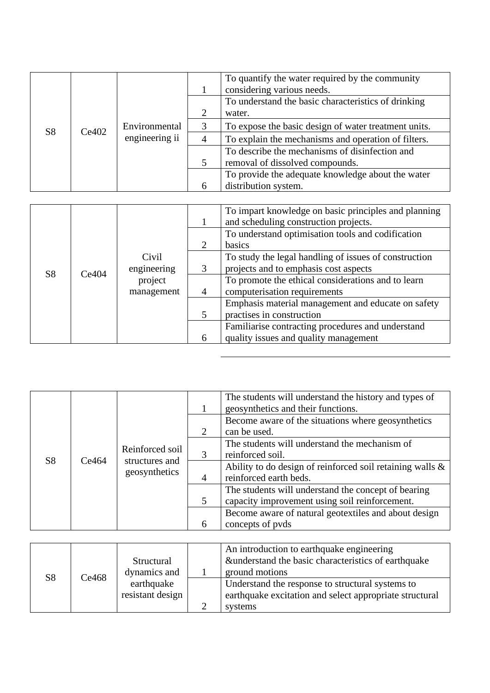|                | Ce402 | Environmental<br>engineering ii |                             | To quantify the water required by the community<br>considering various needs. |
|----------------|-------|---------------------------------|-----------------------------|-------------------------------------------------------------------------------|
|                |       |                                 |                             | To understand the basic characteristics of drinking                           |
|                |       |                                 | $\mathcal{D}_{\mathcal{L}}$ | water.                                                                        |
|                |       |                                 |                             | To expose the basic design of water treatment units.                          |
| S <sub>8</sub> |       |                                 | $\overline{A}$              | To explain the mechanisms and operation of filters.                           |
|                |       |                                 |                             | To describe the mechanisms of disinfection and                                |
|                |       |                                 | $\overline{5}$              | removal of dissolved compounds.                                               |
|                |       |                                 |                             | To provide the adequate knowledge about the water                             |
|                |       |                                 | 6                           | distribution system.                                                          |

|                | Civil<br>Ce404<br>project | engineering<br>management |                             | To impart knowledge on basic principles and planning<br>and scheduling construction projects. |
|----------------|---------------------------|---------------------------|-----------------------------|-----------------------------------------------------------------------------------------------|
|                |                           |                           |                             | To understand optimisation tools and codification                                             |
|                |                           |                           | $\mathcal{D}_{\mathcal{L}}$ | basics                                                                                        |
|                |                           |                           |                             | To study the legal handling of issues of construction                                         |
|                |                           |                           | 3                           | projects and to emphasis cost aspects                                                         |
| S <sub>8</sub> |                           |                           |                             | To promote the ethical considerations and to learn                                            |
|                |                           |                           | $\overline{4}$              | computerisation requirements                                                                  |
|                |                           |                           |                             | Emphasis material management and educate on safety                                            |
|                |                           |                           | 5                           | practises in construction                                                                     |
|                |                           |                           |                             | Familiarise contracting procedures and understand                                             |
|                |                           |                           | 6                           | quality issues and quality management                                                         |

| S <sub>8</sub> | Ce464 | Reinforced soil<br>structures and<br>geosynthetics |                | The students will understand the history and types of<br>geosynthetics and their functions. |
|----------------|-------|----------------------------------------------------|----------------|---------------------------------------------------------------------------------------------|
|                |       |                                                    | 2              | Become aware of the situations where geosynthetics<br>can be used.                          |
|                |       |                                                    |                | The students will understand the mechanism of                                               |
|                |       |                                                    |                | reinforced soil.<br>Ability to do design of reinforced soil retaining walls $\&$            |
|                |       |                                                    | $\overline{4}$ | reinforced earth beds.                                                                      |
|                |       |                                                    |                | The students will understand the concept of bearing                                         |
|                |       |                                                    | 5              | capacity improvement using soil reinforcement.                                              |
|                |       |                                                    |                | Become aware of natural geotextiles and about design                                        |
|                |       |                                                    | 6              | concepts of pyds                                                                            |

| S <sub>8</sub> | Ce468 | Structural       | An introduction to earthquake engineering<br>&understand the basic characteristics of earthquake |
|----------------|-------|------------------|--------------------------------------------------------------------------------------------------|
|                |       | dynamics and     | ground motions                                                                                   |
|                |       | earthquake       | Understand the response to structural systems to                                                 |
|                |       | resistant design | earthquake excitation and select appropriate structural                                          |
|                |       |                  | systems                                                                                          |